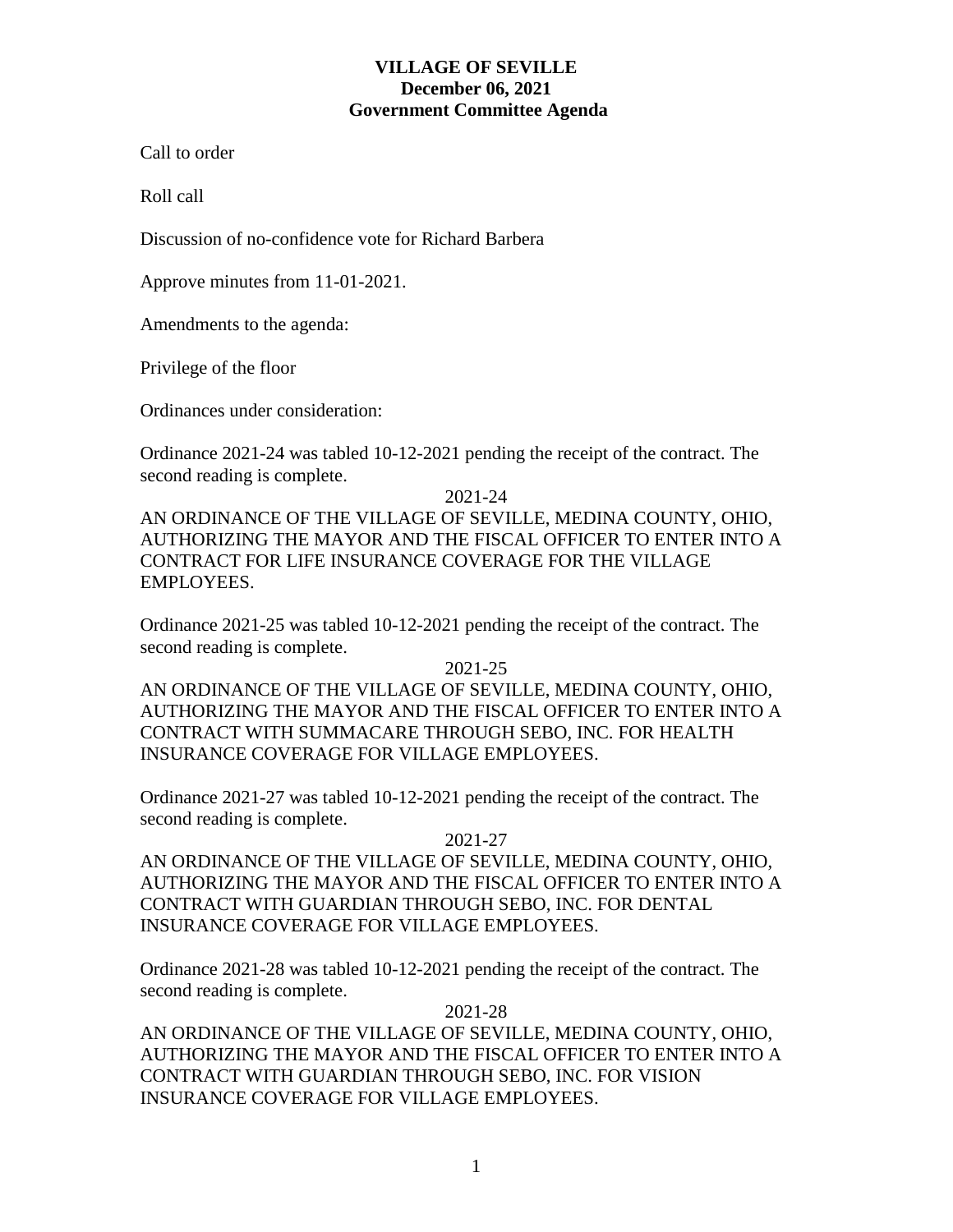## **VILLAGE OF SEVILLE December 06, 2021 Government Committee Agenda**

Call to order

Roll call

Discussion of no-confidence vote for Richard Barbera

Approve minutes from 11-01-2021.

Amendments to the agenda:

Privilege of the floor

Ordinances under consideration:

Ordinance 2021-24 was tabled 10-12-2021 pending the receipt of the contract. The second reading is complete.

2021-24

AN ORDINANCE OF THE VILLAGE OF SEVILLE, MEDINA COUNTY, OHIO, AUTHORIZING THE MAYOR AND THE FISCAL OFFICER TO ENTER INTO A CONTRACT FOR LIFE INSURANCE COVERAGE FOR THE VILLAGE EMPLOYEES.

Ordinance 2021-25 was tabled 10-12-2021 pending the receipt of the contract. The second reading is complete.

2021-25

AN ORDINANCE OF THE VILLAGE OF SEVILLE, MEDINA COUNTY, OHIO, AUTHORIZING THE MAYOR AND THE FISCAL OFFICER TO ENTER INTO A CONTRACT WITH SUMMACARE THROUGH SEBO, INC. FOR HEALTH INSURANCE COVERAGE FOR VILLAGE EMPLOYEES.

Ordinance 2021-27 was tabled 10-12-2021 pending the receipt of the contract. The second reading is complete.

2021-27

AN ORDINANCE OF THE VILLAGE OF SEVILLE, MEDINA COUNTY, OHIO, AUTHORIZING THE MAYOR AND THE FISCAL OFFICER TO ENTER INTO A CONTRACT WITH GUARDIAN THROUGH SEBO, INC. FOR DENTAL INSURANCE COVERAGE FOR VILLAGE EMPLOYEES.

Ordinance 2021-28 was tabled 10-12-2021 pending the receipt of the contract. The second reading is complete.

2021-28

AN ORDINANCE OF THE VILLAGE OF SEVILLE, MEDINA COUNTY, OHIO, AUTHORIZING THE MAYOR AND THE FISCAL OFFICER TO ENTER INTO A CONTRACT WITH GUARDIAN THROUGH SEBO, INC. FOR VISION INSURANCE COVERAGE FOR VILLAGE EMPLOYEES.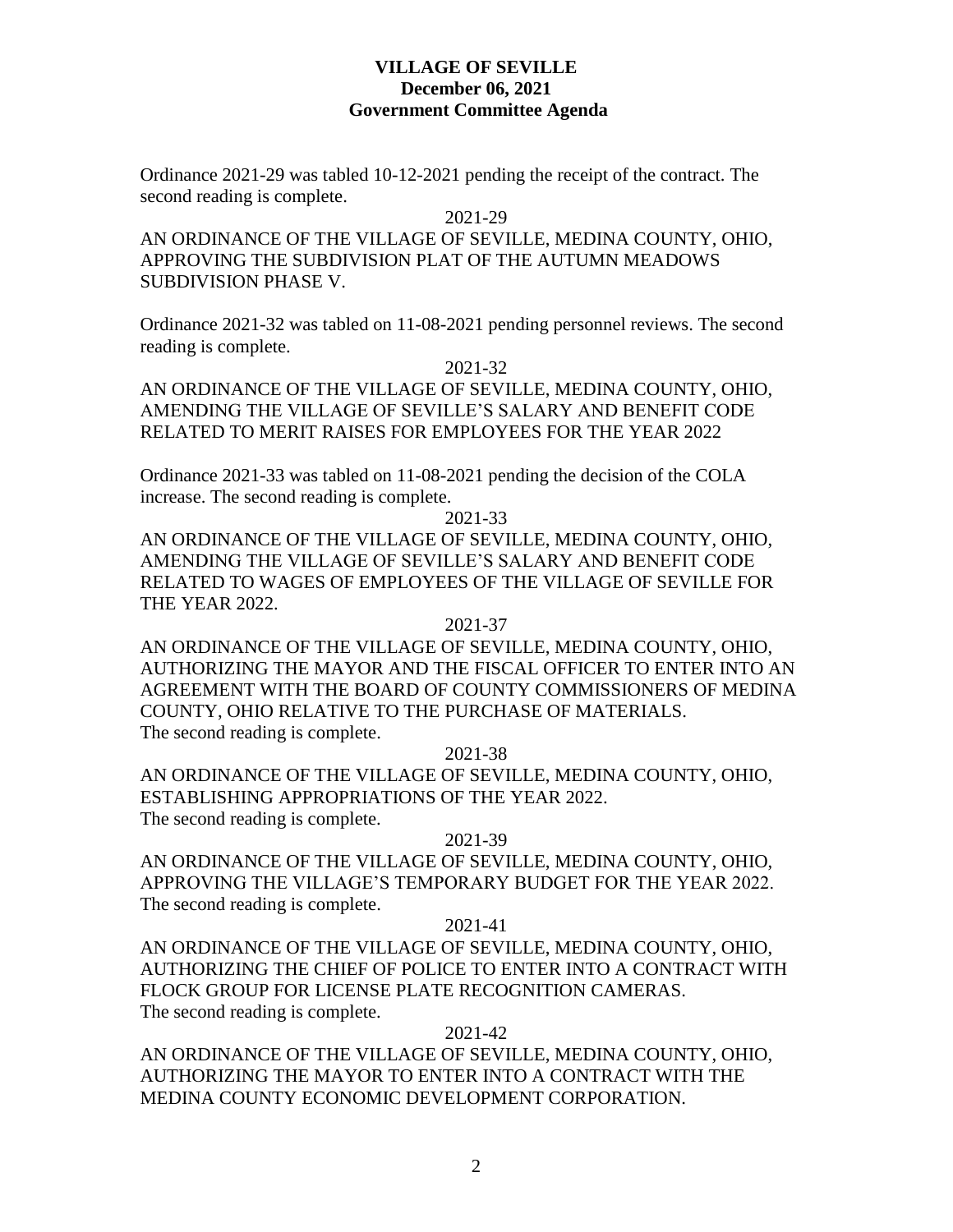### **VILLAGE OF SEVILLE December 06, 2021 Government Committee Agenda**

Ordinance 2021-29 was tabled 10-12-2021 pending the receipt of the contract. The second reading is complete.

#### 2021-29

AN ORDINANCE OF THE VILLAGE OF SEVILLE, MEDINA COUNTY, OHIO, APPROVING THE SUBDIVISION PLAT OF THE AUTUMN MEADOWS SUBDIVISION PHASE V.

Ordinance 2021-32 was tabled on 11-08-2021 pending personnel reviews. The second reading is complete.

2021-32

AN ORDINANCE OF THE VILLAGE OF SEVILLE, MEDINA COUNTY, OHIO, AMENDING THE VILLAGE OF SEVILLE'S SALARY AND BENEFIT CODE RELATED TO MERIT RAISES FOR EMPLOYEES FOR THE YEAR 2022

Ordinance 2021-33 was tabled on 11-08-2021 pending the decision of the COLA increase. The second reading is complete.

#### 2021-33

AN ORDINANCE OF THE VILLAGE OF SEVILLE, MEDINA COUNTY, OHIO, AMENDING THE VILLAGE OF SEVILLE'S SALARY AND BENEFIT CODE RELATED TO WAGES OF EMPLOYEES OF THE VILLAGE OF SEVILLE FOR THE YEAR 2022.

### 2021-37

AN ORDINANCE OF THE VILLAGE OF SEVILLE, MEDINA COUNTY, OHIO, AUTHORIZING THE MAYOR AND THE FISCAL OFFICER TO ENTER INTO AN AGREEMENT WITH THE BOARD OF COUNTY COMMISSIONERS OF MEDINA COUNTY, OHIO RELATIVE TO THE PURCHASE OF MATERIALS. The second reading is complete.

2021-38

AN ORDINANCE OF THE VILLAGE OF SEVILLE, MEDINA COUNTY, OHIO, ESTABLISHING APPROPRIATIONS OF THE YEAR 2022. The second reading is complete.

### 2021-39

AN ORDINANCE OF THE VILLAGE OF SEVILLE, MEDINA COUNTY, OHIO, APPROVING THE VILLAGE'S TEMPORARY BUDGET FOR THE YEAR 2022. The second reading is complete.

### 2021-41

AN ORDINANCE OF THE VILLAGE OF SEVILLE, MEDINA COUNTY, OHIO, AUTHORIZING THE CHIEF OF POLICE TO ENTER INTO A CONTRACT WITH FLOCK GROUP FOR LICENSE PLATE RECOGNITION CAMERAS. The second reading is complete.

### 2021-42

AN ORDINANCE OF THE VILLAGE OF SEVILLE, MEDINA COUNTY, OHIO, AUTHORIZING THE MAYOR TO ENTER INTO A CONTRACT WITH THE MEDINA COUNTY ECONOMIC DEVELOPMENT CORPORATION.